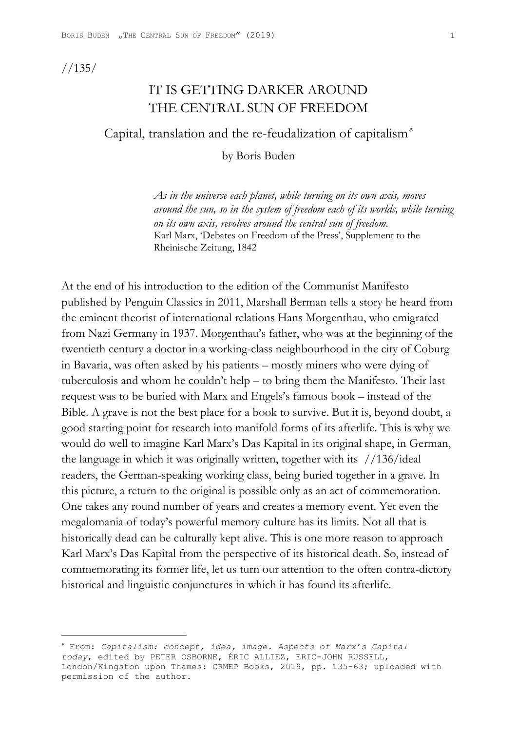//135/

# IT IS GETTING DARKER AROUND THE CENTRAL SUN OF FREEDOM

Capital, translation and the re-feudalization of capitalism

by Boris Buden

*As in the universe each planet, while turning on its own axis, moves around the sun, so in the system of freedom each of its worlds, while turning on its own axis, revolves around the central sun of freedom.* Karl Marx, 'Debates on Freedom of the Press', Supplement to the Rheinische Zeitung, 1842

At the end of his introduction to the edition of the Communist Manifesto published by Penguin Classics in 2011, Marshall Berman tells a story he heard from the eminent theorist of international relations Hans Morgenthau, who emigrated from Nazi Germany in 1937. Morgenthau's father, who was at the beginning of the twentieth century a doctor in a working-class neighbourhood in the city of Coburg in Bavaria, was often asked by his patients – mostly miners who were dying of tuberculosis and whom he couldn't help – to bring them the Manifesto. Their last request was to be buried with Marx and Engels's famous book – instead of the Bible. A grave is not the best place for a book to survive. But it is, beyond doubt, a good starting point for research into manifold forms of its afterlife. This is why we would do well to imagine Karl Marx's Das Kapital in its original shape, in German, the language in which it was originally written, together with its //136/ideal readers, the German-speaking working class, being buried together in a grave. In this picture, a return to the original is possible only as an act of commemoration. One takes any round number of years and creates a memory event. Yet even the megalomania of today's powerful memory culture has its limits. Not all that is historically dead can be culturally kept alive. This is one more reason to approach Karl Marx's Das Kapital from the perspective of its historical death. So, instead of commemorating its former life, let us turn our attention to the often contra-dictory historical and linguistic conjunctures in which it has found its afterlife.

 From: *Capitalism: concept, idea, image. Aspects of Marx's Capital today*, edited by PETER OSBORNE, ÉRIC ALLIEZ, ERIC-JOHN RUSSELL, London/Kingston upon Thames: CRMEP Books, 2019, pp. 135-63; uploaded with permission of the author.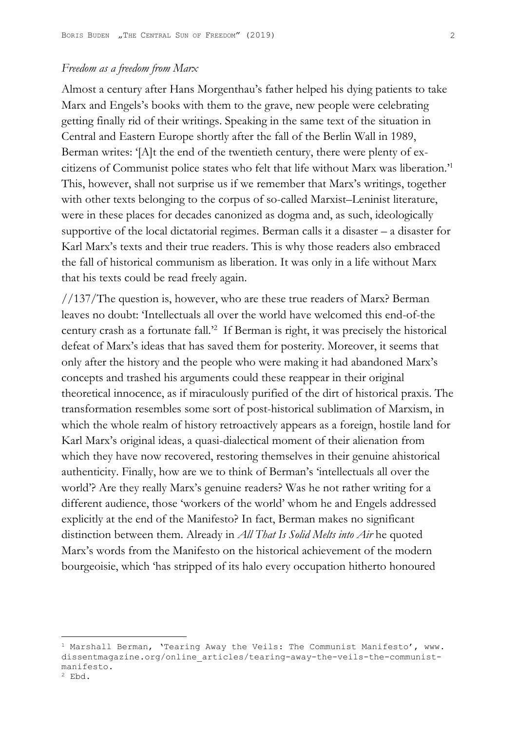## *Freedom as a freedom from Marx*

Almost a century after Hans Morgenthau's father helped his dying patients to take Marx and Engels's books with them to the grave, new people were celebrating getting finally rid of their writings. Speaking in the same text of the situation in Central and Eastern Europe shortly after the fall of the Berlin Wall in 1989, Berman writes: '[A]t the end of the twentieth century, there were plenty of excitizens of Communist police states who felt that life without Marx was liberation.'1 This, however, shall not surprise us if we remember that Marx's writings, together with other texts belonging to the corpus of so-called Marxist–Leninist literature, were in these places for decades canonized as dogma and, as such, ideologically supportive of the local dictatorial regimes. Berman calls it a disaster – a disaster for Karl Marx's texts and their true readers. This is why those readers also embraced the fall of historical communism as liberation. It was only in a life without Marx that his texts could be read freely again.

//137/The question is, however, who are these true readers of Marx? Berman leaves no doubt: 'Intellectuals all over the world have welcomed this end-of-the century crash as a fortunate fall.'2 If Berman is right, it was precisely the historical defeat of Marx's ideas that has saved them for posterity. Moreover, it seems that only after the history and the people who were making it had abandoned Marx's concepts and trashed his arguments could these reappear in their original theoretical innocence, as if miraculously purified of the dirt of historical praxis. The transformation resembles some sort of post-historical sublimation of Marxism, in which the whole realm of history retroactively appears as a foreign, hostile land for Karl Marx's original ideas, a quasi-dialectical moment of their alienation from which they have now recovered, restoring themselves in their genuine ahistorical authenticity. Finally, how are we to think of Berman's 'intellectuals all over the world'? Are they really Marx's genuine readers? Was he not rather writing for a different audience, those 'workers of the world' whom he and Engels addressed explicitly at the end of the Manifesto? In fact, Berman makes no significant distinction between them. Already in *All That Is Solid Melts into Air* he quoted Marx's words from the Manifesto on the historical achievement of the modern bourgeoisie, which 'has stripped of its halo every occupation hitherto honoured

<sup>&</sup>lt;sup>1</sup> Marshall Berman, 'Tearing Away the Veils: The Communist Manifesto', www. dissentmagazine.org/online\_articles/tearing-away-the-veils-the-communistmanifesto.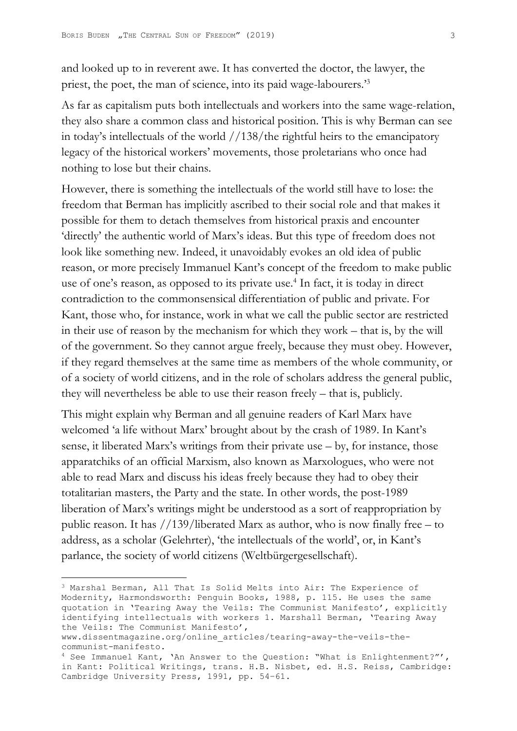and looked up to in reverent awe. It has converted the doctor, the lawyer, the priest, the poet, the man of science, into its paid wage-labourers.<sup>33</sup>

As far as capitalism puts both intellectuals and workers into the same wage-relation, they also share a common class and historical position. This is why Berman can see in today's intellectuals of the world //138/the rightful heirs to the emancipatory legacy of the historical workers' movements, those proletarians who once had nothing to lose but their chains.

However, there is something the intellectuals of the world still have to lose: the freedom that Berman has implicitly ascribed to their social role and that makes it possible for them to detach themselves from historical praxis and encounter 'directly' the authentic world of Marx's ideas. But this type of freedom does not look like something new. Indeed, it unavoidably evokes an old idea of public reason, or more precisely Immanuel Kant's concept of the freedom to make public use of one's reason, as opposed to its private use.<sup>4</sup> In fact, it is today in direct contradiction to the commonsensical differentiation of public and private. For Kant, those who, for instance, work in what we call the public sector are restricted in their use of reason by the mechanism for which they work – that is, by the will of the government. So they cannot argue freely, because they must obey. However, if they regard themselves at the same time as members of the whole community, or of a society of world citizens, and in the role of scholars address the general public, they will nevertheless be able to use their reason freely – that is, publicly.

This might explain why Berman and all genuine readers of Karl Marx have welcomed 'a life without Marx' brought about by the crash of 1989. In Kant's sense, it liberated Marx's writings from their private use – by, for instance, those apparatchiks of an official Marxism, also known as Marxologues, who were not able to read Marx and discuss his ideas freely because they had to obey their totalitarian masters, the Party and the state. In other words, the post-1989 liberation of Marx's writings might be understood as a sort of reappropriation by public reason. It has  $//139/liberated Marx as author, who is now finally free – to$ address, as a scholar (Gelehrter), 'the intellectuals of the world', or, in Kant's parlance, the society of world citizens (Weltbürgergesellschaft).

<sup>3</sup> Marshal Berman, All That Is Solid Melts into Air: The Experience of Modernity, Harmondsworth: Penguin Books, 1988, p. 115. He uses the same quotation in 'Tearing Away the Veils: The Communist Manifesto', explicitly identifying intellectuals with workers 1. Marshall Berman, 'Tearing Away the Veils: The Communist Manifesto',

www.dissentmagazine.org/online\_articles/tearing-away-the-veils-thecommunist-manifesto.

<sup>4</sup> See Immanuel Kant, 'An Answer to the Question: "What is Enlightenment?"', in Kant: Political Writings, trans. H.B. Nisbet, ed. H.S. Reiss, Cambridge: Cambridge University Press, 1991, pp. 54–61.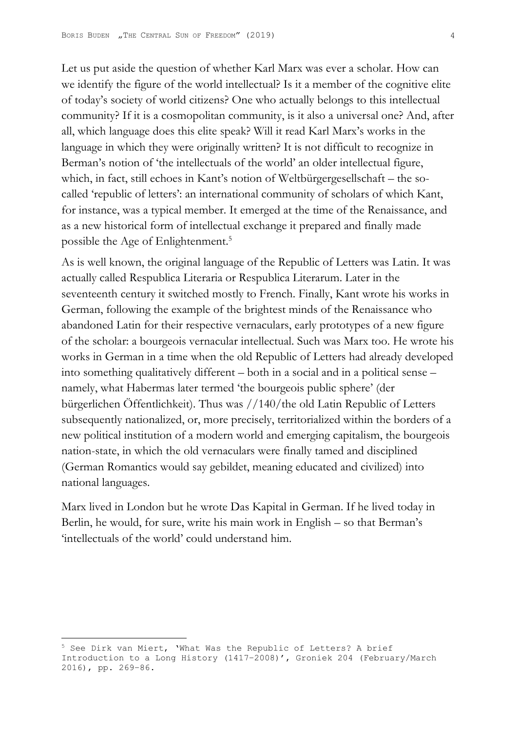Let us put aside the question of whether Karl Marx was ever a scholar. How can we identify the figure of the world intellectual? Is it a member of the cognitive elite of today's society of world citizens? One who actually belongs to this intellectual community? If it is a cosmopolitan community, is it also a universal one? And, after all, which language does this elite speak? Will it read Karl Marx's works in the language in which they were originally written? It is not difficult to recognize in Berman's notion of 'the intellectuals of the world' an older intellectual figure, which, in fact, still echoes in Kant's notion of Weltbürgergesellschaft – the socalled 'republic of letters': an international community of scholars of which Kant, for instance, was a typical member. It emerged at the time of the Renaissance, and as a new historical form of intellectual exchange it prepared and finally made possible the Age of Enlightenment.<sup>5</sup>

As is well known, the original language of the Republic of Letters was Latin. It was actually called Respublica Literaria or Respublica Literarum. Later in the seventeenth century it switched mostly to French. Finally, Kant wrote his works in German, following the example of the brightest minds of the Renaissance who abandoned Latin for their respective vernaculars, early prototypes of a new figure of the scholar: a bourgeois vernacular intellectual. Such was Marx too. He wrote his works in German in a time when the old Republic of Letters had already developed into something qualitatively different – both in a social and in a political sense – namely, what Habermas later termed 'the bourgeois public sphere' (der bürgerlichen Öffentlichkeit). Thus was //140/the old Latin Republic of Letters subsequently nationalized, or, more precisely, territorialized within the borders of a new political institution of a modern world and emerging capitalism, the bourgeois nation-state, in which the old vernaculars were finally tamed and disciplined (German Romantics would say gebildet, meaning educated and civilized) into national languages.

Marx lived in London but he wrote Das Kapital in German. If he lived today in Berlin, he would, for sure, write his main work in English – so that Berman's 'intellectuals of the world' could understand him.

<sup>5</sup> See Dirk van Miert, 'What Was the Republic of Letters? A brief Introduction to a Long History (1417–2008)', Groniek 204 (February/March 2016), pp. 269–86.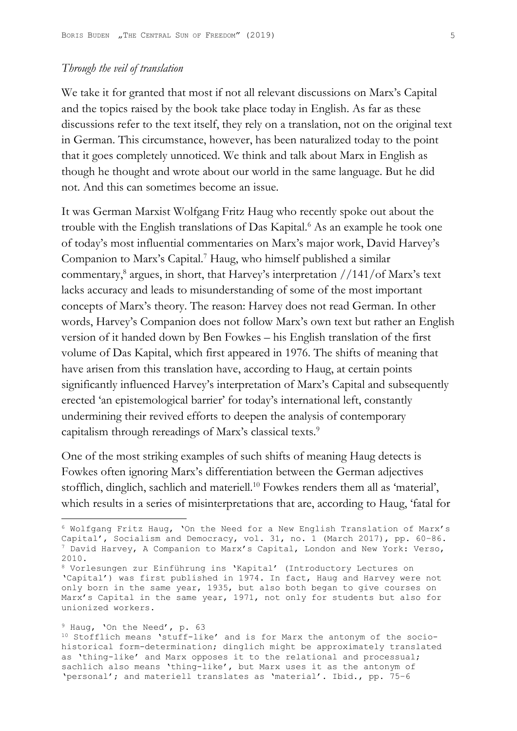## *Through the veil of translation*

We take it for granted that most if not all relevant discussions on Marx's Capital and the topics raised by the book take place today in English. As far as these discussions refer to the text itself, they rely on a translation, not on the original text in German. This circumstance, however, has been naturalized today to the point that it goes completely unnoticed. We think and talk about Marx in English as though he thought and wrote about our world in the same language. But he did not. And this can sometimes become an issue.

It was German Marxist Wolfgang Fritz Haug who recently spoke out about the trouble with the English translations of Das Kapital.<sup>6</sup> As an example he took one of today's most influential commentaries on Marx's major work, David Harvey's Companion to Marx's Capital.7 Haug, who himself published a similar commentary,8 argues, in short, that Harvey's interpretation //141/of Marx's text lacks accuracy and leads to misunderstanding of some of the most important concepts of Marx's theory. The reason: Harvey does not read German. In other words, Harvey's Companion does not follow Marx's own text but rather an English version of it handed down by Ben Fowkes – his English translation of the first volume of Das Kapital, which first appeared in 1976. The shifts of meaning that have arisen from this translation have, according to Haug, at certain points significantly influenced Harvey's interpretation of Marx's Capital and subsequently erected 'an epistemological barrier' for today's international left, constantly undermining their revived efforts to deepen the analysis of contemporary capitalism through rereadings of Marx's classical texts.<sup>9</sup>

One of the most striking examples of such shifts of meaning Haug detects is Fowkes often ignoring Marx's differentiation between the German adjectives stofflich, dinglich, sachlich and materiell.10 Fowkes renders them all as 'material', which results in a series of misinterpretations that are, according to Haug, 'fatal for

#### <sup>9</sup> Haug, 'On the Need', p. 63

<sup>6</sup> Wolfgang Fritz Haug, 'On the Need for a New English Translation of Marx's Capital', Socialism and Democracy, vol. 31, no. 1 (March 2017), pp. 60–86.  $7$  David Harvey, A Companion to Marx's Capital, London and New York: Verso, 2010.

<sup>8</sup> Vorlesungen zur Einführung ins 'Kapital' (Introductory Lectures on 'Capital') was first published in 1974. In fact, Haug and Harvey were not only born in the same year, 1935, but also both began to give courses on Marx's Capital in the same year, 1971, not only for students but also for unionized workers.

<sup>10</sup> Stofflich means 'stuff-like' and is for Marx the antonym of the sociohistorical form-determination; dinglich might be approximately translated as 'thing-like' and Marx opposes it to the relational and processual; sachlich also means 'thing-like', but Marx uses it as the antonym of 'personal'; and materiell translates as 'material'. Ibid., pp. 75–6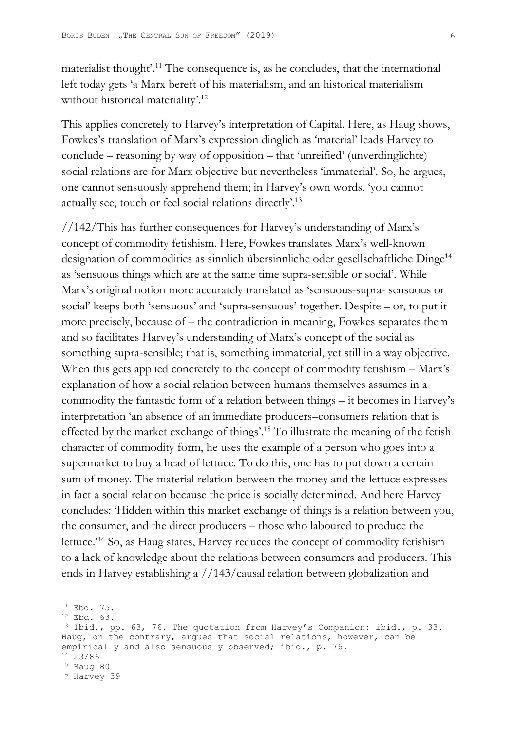materialist thought'.<sup>11</sup> The consequence is, as he concludes, that the international left today gets 'a Marx bereft of his materialism, and an historical materialism without historical materiality'.<sup>12</sup>

This applies concretely to Harvey's interpretation of Capital. Here, as Haug shows, Fowkes's translation of Marx's expression dinglich as 'material' leads Harvey to conclude – reasoning by way of opposition – that 'unreified' (unverdinglichte) social relations are for Marx objective but nevertheless 'immaterial'. So, he argues, one cannot sensuously apprehend them; in Harvey's own words, 'you cannot actually see, touch or feel social relations directly'.13

//142/This has further consequences for Harvey's understanding of Marx's concept of commodity fetishism. Here, Fowkes translates Marx's well-known designation of commodities as sinnlich übersinnliche oder gesellschaftliche Dinge14 as 'sensuous things which are at the same time supra-sensible or social'. While Marx's original notion more accurately translated as 'sensuous-supra- sensuous or social' keeps both 'sensuous' and 'supra-sensuous' together. Despite – or, to put it more precisely, because of – the contradiction in meaning, Fowkes separates them and so facilitates Harvey's understanding of Marx's concept of the social as something supra-sensible; that is, something immaterial, yet still in a way objective. When this gets applied concretely to the concept of commodity fetishism – Marx's explanation of how a social relation between humans themselves assumes in a commodity the fantastic form of a relation between things – it becomes in Harvey's interpretation 'an absence of an immediate producers–consumers relation that is effected by the market exchange of things'.15 To illustrate the meaning of the fetish character of commodity form, he uses the example of a person who goes into a supermarket to buy a head of lettuce. To do this, one has to put down a certain sum of money. The material relation between the money and the lettuce expresses in fact a social relation because the price is socially determined. And here Harvey concludes: 'Hidden within this market exchange of things is a relation between you, the consumer, and the direct producers – those who laboured to produce the lettuce.'16 So, as Haug states, Harvey reduces the concept of commodity fetishism to a lack of knowledge about the relations between consumers and producers. This ends in Harvey establishing a //143/causal relation between globalization and

 $11$  Ebd. 75.

<sup>12</sup> Ebd. 63.

<sup>13</sup> Ibid., pp. 63, 76. The quotation from Harvey's Companion: ibid., p. 33. Haug, on the contrary, argues that social relations, however, can be empirically and also sensuously observed; ibid., p. 76. 14 23/86

<sup>15</sup> Haug 80

<sup>16</sup> Harvey 39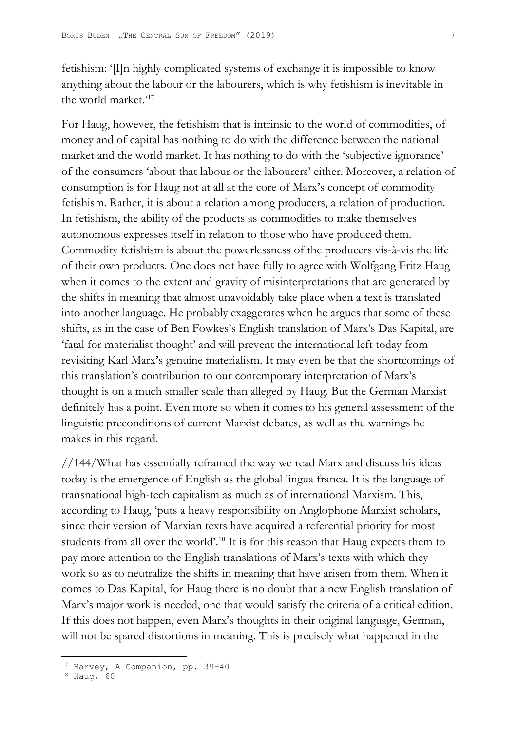fetishism: '[I]n highly complicated systems of exchange it is impossible to know anything about the labour or the labourers, which is why fetishism is inevitable in the world market.'17

For Haug, however, the fetishism that is intrinsic to the world of commodities, of money and of capital has nothing to do with the difference between the national market and the world market. It has nothing to do with the 'subjective ignorance' of the consumers 'about that labour or the labourers' either. Moreover, a relation of consumption is for Haug not at all at the core of Marx's concept of commodity fetishism. Rather, it is about a relation among producers, a relation of production. In fetishism, the ability of the products as commodities to make themselves autonomous expresses itself in relation to those who have produced them. Commodity fetishism is about the powerlessness of the producers vis-à-vis the life of their own products. One does not have fully to agree with Wolfgang Fritz Haug when it comes to the extent and gravity of misinterpretations that are generated by the shifts in meaning that almost unavoidably take place when a text is translated into another language. He probably exaggerates when he argues that some of these shifts, as in the case of Ben Fowkes's English translation of Marx's Das Kapital, are 'fatal for materialist thought' and will prevent the international left today from revisiting Karl Marx's genuine materialism. It may even be that the shortcomings of this translation's contribution to our contemporary interpretation of Marx's thought is on a much smaller scale than alleged by Haug. But the German Marxist definitely has a point. Even more so when it comes to his general assessment of the linguistic preconditions of current Marxist debates, as well as the warnings he makes in this regard.

//144/What has essentially reframed the way we read Marx and discuss his ideas today is the emergence of English as the global lingua franca. It is the language of transnational high-tech capitalism as much as of international Marxism. This, according to Haug, 'puts a heavy responsibility on Anglophone Marxist scholars, since their version of Marxian texts have acquired a referential priority for most students from all over the world'.<sup>18</sup> It is for this reason that Haug expects them to pay more attention to the English translations of Marx's texts with which they work so as to neutralize the shifts in meaning that have arisen from them. When it comes to Das Kapital, for Haug there is no doubt that a new English translation of Marx's major work is needed, one that would satisfy the criteria of a critical edition. If this does not happen, even Marx's thoughts in their original language, German, will not be spared distortions in meaning. This is precisely what happened in the

<sup>17</sup> Harvey, A Companion, pp. 39–40

<sup>18</sup> Haug, 60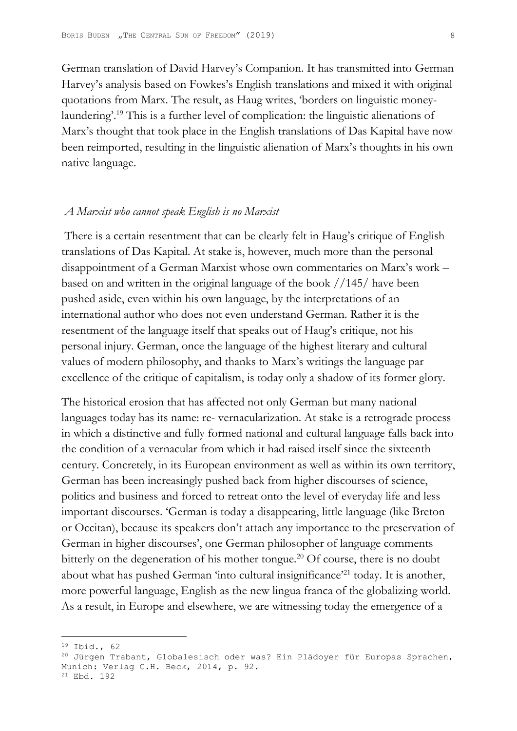German translation of David Harvey's Companion. It has transmitted into German Harvey's analysis based on Fowkes's English translations and mixed it with original quotations from Marx. The result, as Haug writes, 'borders on linguistic moneylaundering'.19 This is a further level of complication: the linguistic alienations of Marx's thought that took place in the English translations of Das Kapital have now been reimported, resulting in the linguistic alienation of Marx's thoughts in his own native language.

### *A Marxist who cannot speak English is no Marxist*

 There is a certain resentment that can be clearly felt in Haug's critique of English translations of Das Kapital. At stake is, however, much more than the personal disappointment of a German Marxist whose own commentaries on Marx's work – based on and written in the original language of the book //145/ have been pushed aside, even within his own language, by the interpretations of an international author who does not even understand German. Rather it is the resentment of the language itself that speaks out of Haug's critique, not his personal injury. German, once the language of the highest literary and cultural values of modern philosophy, and thanks to Marx's writings the language par excellence of the critique of capitalism, is today only a shadow of its former glory.

The historical erosion that has affected not only German but many national languages today has its name: re- vernacularization. At stake is a retrograde process in which a distinctive and fully formed national and cultural language falls back into the condition of a vernacular from which it had raised itself since the sixteenth century. Concretely, in its European environment as well as within its own territory, German has been increasingly pushed back from higher discourses of science, politics and business and forced to retreat onto the level of everyday life and less important discourses. 'German is today a disappearing, little language (like Breton or Occitan), because its speakers don't attach any importance to the preservation of German in higher discourses', one German philosopher of language comments bitterly on the degeneration of his mother tongue.<sup>20</sup> Of course, there is no doubt about what has pushed German 'into cultural insignificance'<sup>21</sup> today. It is another, more powerful language, English as the new lingua franca of the globalizing world. As a result, in Europe and elsewhere, we are witnessing today the emergence of a

21 Ebd. 192

<sup>19</sup> Ibid., 62

<sup>&</sup>lt;sup>20</sup> Jürgen Trabant, Globalesisch oder was? Ein Plädoyer für Europas Sprachen, Munich: Verlag C.H. Beck, 2014, p. 92.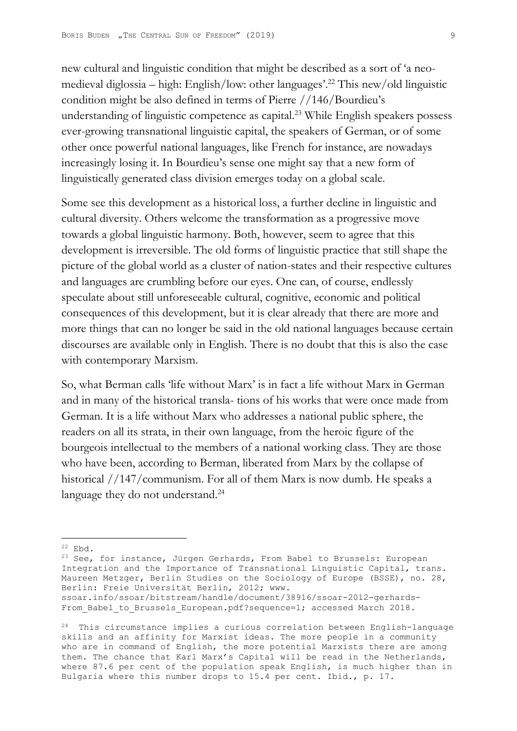new cultural and linguistic condition that might be described as a sort of 'a neomedieval diglossia – high: English/low: other languages'.22 This new/old linguistic condition might be also defined in terms of Pierre //146/Bourdieu's understanding of linguistic competence as capital.<sup>23</sup> While English speakers possess ever-growing transnational linguistic capital, the speakers of German, or of some other once powerful national languages, like French for instance, are nowadays increasingly losing it. In Bourdieu's sense one might say that a new form of linguistically generated class division emerges today on a global scale.

Some see this development as a historical loss, a further decline in linguistic and cultural diversity. Others welcome the transformation as a progressive move towards a global linguistic harmony. Both, however, seem to agree that this development is irreversible. The old forms of linguistic practice that still shape the picture of the global world as a cluster of nation-states and their respective cultures and languages are crumbling before our eyes. One can, of course, endlessly speculate about still unforeseeable cultural, cognitive, economic and political consequences of this development, but it is clear already that there are more and more things that can no longer be said in the old national languages because certain discourses are available only in English. There is no doubt that this is also the case with contemporary Marxism.

So, what Berman calls 'life without Marx' is in fact a life without Marx in German and in many of the historical transla- tions of his works that were once made from German. It is a life without Marx who addresses a national public sphere, the readers on all its strata, in their own language, from the heroic figure of the bourgeois intellectual to the members of a national working class. They are those who have been, according to Berman, liberated from Marx by the collapse of historical //147/communism. For all of them Marx is now dumb. He speaks a language they do not understand.<sup>24</sup>

 $22$  Ebd.

<sup>&</sup>lt;sup>23</sup> See, for instance, Jürgen Gerhards, From Babel to Brussels: European Integration and the Importance of Transnational Linguistic Capital, trans. Maureen Metzger, Berlin Studies on the Sociology of Europe (BSSE), no. 28, Berlin: Freie Universität Berlin, 2012; www. ssoar.info/ssoar/bitstream/handle/document/38916/ssoar-2012-gerhards-

From Babel to Brussels European.pdf?sequence=1; accessed March 2018.

<sup>24</sup> This circumstance implies a curious correlation between English-language skills and an affinity for Marxist ideas. The more people in a community who are in command of English, the more potential Marxists there are among them. The chance that Karl Marx's Capital will be read in the Netherlands, where 87.6 per cent of the population speak English, is much higher than in Bulgaria where this number drops to 15.4 per cent. Ibid., p. 17.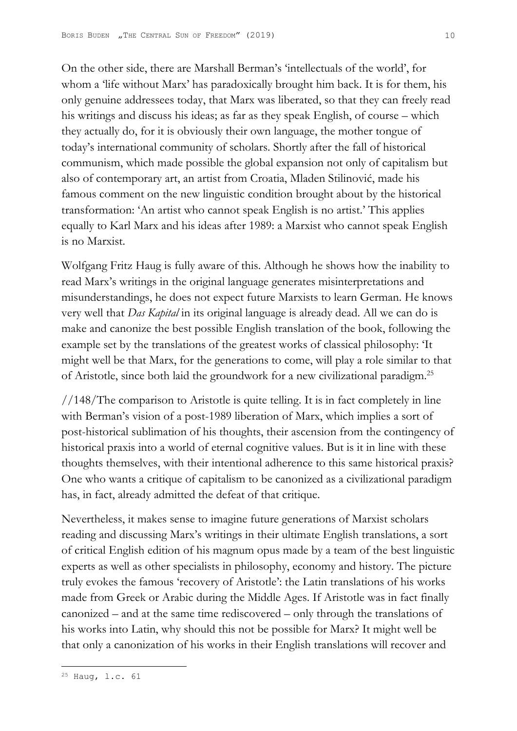On the other side, there are Marshall Berman's 'intellectuals of the world', for whom a 'life without Marx' has paradoxically brought him back. It is for them, his only genuine addressees today, that Marx was liberated, so that they can freely read his writings and discuss his ideas; as far as they speak English, of course – which they actually do, for it is obviously their own language, the mother tongue of today's international community of scholars. Shortly after the fall of historical communism, which made possible the global expansion not only of capitalism but also of contemporary art, an artist from Croatia, Mladen Stilinović, made his famous comment on the new linguistic condition brought about by the historical transformation: 'An artist who cannot speak English is no artist.' This applies equally to Karl Marx and his ideas after 1989: a Marxist who cannot speak English is no Marxist.

Wolfgang Fritz Haug is fully aware of this. Although he shows how the inability to read Marx's writings in the original language generates misinterpretations and misunderstandings, he does not expect future Marxists to learn German. He knows very well that *Das Kapital* in its original language is already dead. All we can do is make and canonize the best possible English translation of the book, following the example set by the translations of the greatest works of classical philosophy: 'It might well be that Marx, for the generations to come, will play a role similar to that of Aristotle, since both laid the groundwork for a new civilizational paradigm.25

//148/The comparison to Aristotle is quite telling. It is in fact completely in line with Berman's vision of a post-1989 liberation of Marx, which implies a sort of post-historical sublimation of his thoughts, their ascension from the contingency of historical praxis into a world of eternal cognitive values. But is it in line with these thoughts themselves, with their intentional adherence to this same historical praxis? One who wants a critique of capitalism to be canonized as a civilizational paradigm has, in fact, already admitted the defeat of that critique.

Nevertheless, it makes sense to imagine future generations of Marxist scholars reading and discussing Marx's writings in their ultimate English translations, a sort of critical English edition of his magnum opus made by a team of the best linguistic experts as well as other specialists in philosophy, economy and history. The picture truly evokes the famous 'recovery of Aristotle': the Latin translations of his works made from Greek or Arabic during the Middle Ages. If Aristotle was in fact finally canonized – and at the same time rediscovered – only through the translations of his works into Latin, why should this not be possible for Marx? It might well be that only a canonization of his works in their English translations will recover and

<sup>25</sup> Haug, l.c. 61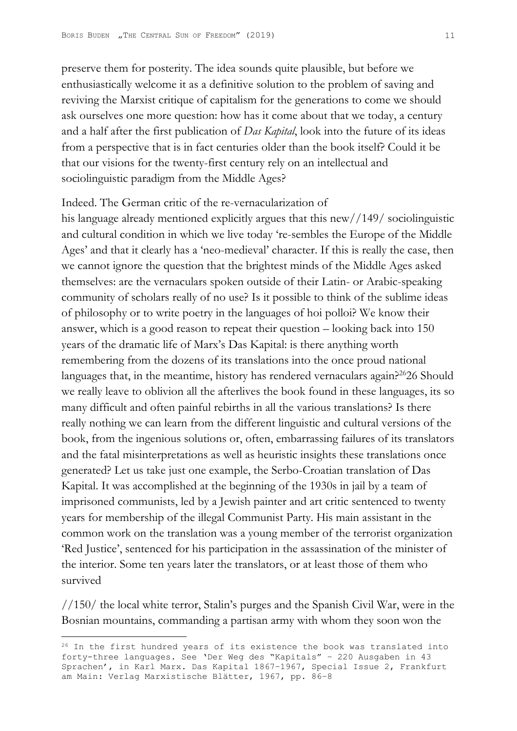preserve them for posterity. The idea sounds quite plausible, but before we enthusiastically welcome it as a definitive solution to the problem of saving and reviving the Marxist critique of capitalism for the generations to come we should ask ourselves one more question: how has it come about that we today, a century and a half after the first publication of *Das Kapital*, look into the future of its ideas from a perspective that is in fact centuries older than the book itself? Could it be that our visions for the twenty-first century rely on an intellectual and sociolinguistic paradigm from the Middle Ages?

Indeed. The German critic of the re-vernacularization of his language already mentioned explicitly argues that this new//149/ sociolinguistic and cultural condition in which we live today 're-sembles the Europe of the Middle Ages' and that it clearly has a 'neo-medieval' character. If this is really the case, then we cannot ignore the question that the brightest minds of the Middle Ages asked themselves: are the vernaculars spoken outside of their Latin- or Arabic-speaking community of scholars really of no use? Is it possible to think of the sublime ideas of philosophy or to write poetry in the languages of hoi polloi? We know their answer, which is a good reason to repeat their question – looking back into 150 years of the dramatic life of Marx's Das Kapital: is there anything worth remembering from the dozens of its translations into the once proud national languages that, in the meantime, history has rendered vernaculars again?<sup>26</sup>26 Should we really leave to oblivion all the afterlives the book found in these languages, its so many difficult and often painful rebirths in all the various translations? Is there really nothing we can learn from the different linguistic and cultural versions of the book, from the ingenious solutions or, often, embarrassing failures of its translators and the fatal misinterpretations as well as heuristic insights these translations once generated? Let us take just one example, the Serbo-Croatian translation of Das Kapital. It was accomplished at the beginning of the 1930s in jail by a team of imprisoned communists, led by a Jewish painter and art critic sentenced to twenty years for membership of the illegal Communist Party. His main assistant in the common work on the translation was a young member of the terrorist organization 'Red Justice', sentenced for his participation in the assassination of the minister of the interior. Some ten years later the translators, or at least those of them who survived

//150/ the local white terror, Stalin's purges and the Spanish Civil War, were in the Bosnian mountains, commanding a partisan army with whom they soon won the

<sup>&</sup>lt;sup>26</sup> In the first hundred years of its existence the book was translated into forty-three languages. See 'Der Weg des "Kapitals" – 220 Ausgaben in 43 Sprachen', in Karl Marx. Das Kapital 1867–1967, Special Issue 2, Frankfurt am Main: Verlag Marxistische Blätter, 1967, pp. 86–8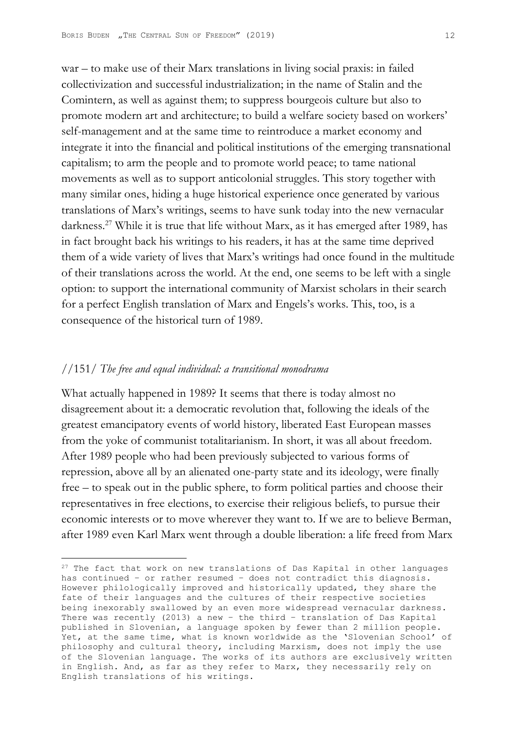war – to make use of their Marx translations in living social praxis: in failed collectivization and successful industrialization; in the name of Stalin and the Comintern, as well as against them; to suppress bourgeois culture but also to promote modern art and architecture; to build a welfare society based on workers' self-management and at the same time to reintroduce a market economy and integrate it into the financial and political institutions of the emerging transnational capitalism; to arm the people and to promote world peace; to tame national movements as well as to support anticolonial struggles. This story together with many similar ones, hiding a huge historical experience once generated by various translations of Marx's writings, seems to have sunk today into the new vernacular darkness.<sup>27</sup> While it is true that life without Marx, as it has emerged after 1989, has in fact brought back his writings to his readers, it has at the same time deprived them of a wide variety of lives that Marx's writings had once found in the multitude of their translations across the world. At the end, one seems to be left with a single option: to support the international community of Marxist scholars in their search for a perfect English translation of Marx and Engels's works. This, too, is a consequence of the historical turn of 1989.

## //151/ *The free and equal individual: a transitional monodrama*

What actually happened in 1989? It seems that there is today almost no disagreement about it: a democratic revolution that, following the ideals of the greatest emancipatory events of world history, liberated East European masses from the yoke of communist totalitarianism. In short, it was all about freedom. After 1989 people who had been previously subjected to various forms of repression, above all by an alienated one-party state and its ideology, were finally free – to speak out in the public sphere, to form political parties and choose their representatives in free elections, to exercise their religious beliefs, to pursue their economic interests or to move wherever they want to. If we are to believe Berman, after 1989 even Karl Marx went through a double liberation: a life freed from Marx

<sup>&</sup>lt;sup>27</sup> The fact that work on new translations of Das Kapital in other languages has continued – or rather resumed – does not contradict this diagnosis. However philologically improved and historically updated, they share the fate of their languages and the cultures of their respective societies being inexorably swallowed by an even more widespread vernacular darkness. There was recently (2013) a new – the third – translation of Das Kapital published in Slovenian, a language spoken by fewer than 2 million people. Yet, at the same time, what is known worldwide as the 'Slovenian School' of philosophy and cultural theory, including Marxism, does not imply the use of the Slovenian language. The works of its authors are exclusively written in English. And, as far as they refer to Marx, they necessarily rely on English translations of his writings.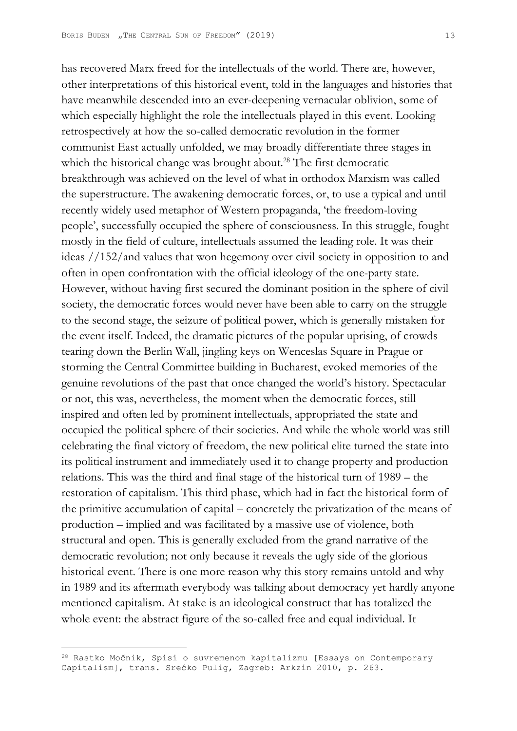has recovered Marx freed for the intellectuals of the world. There are, however, other interpretations of this historical event, told in the languages and histories that have meanwhile descended into an ever-deepening vernacular oblivion, some of which especially highlight the role the intellectuals played in this event. Looking retrospectively at how the so-called democratic revolution in the former communist East actually unfolded, we may broadly differentiate three stages in which the historical change was brought about.<sup>28</sup> The first democratic breakthrough was achieved on the level of what in orthodox Marxism was called the superstructure. The awakening democratic forces, or, to use a typical and until recently widely used metaphor of Western propaganda, 'the freedom-loving people', successfully occupied the sphere of consciousness. In this struggle, fought mostly in the field of culture, intellectuals assumed the leading role. It was their ideas //152/and values that won hegemony over civil society in opposition to and often in open confrontation with the official ideology of the one-party state. However, without having first secured the dominant position in the sphere of civil society, the democratic forces would never have been able to carry on the struggle to the second stage, the seizure of political power, which is generally mistaken for the event itself. Indeed, the dramatic pictures of the popular uprising, of crowds tearing down the Berlin Wall, jingling keys on Wenceslas Square in Prague or storming the Central Committee building in Bucharest, evoked memories of the genuine revolutions of the past that once changed the world's history. Spectacular or not, this was, nevertheless, the moment when the democratic forces, still inspired and often led by prominent intellectuals, appropriated the state and occupied the political sphere of their societies. And while the whole world was still celebrating the final victory of freedom, the new political elite turned the state into its political instrument and immediately used it to change property and production relations. This was the third and final stage of the historical turn of 1989 – the restoration of capitalism. This third phase, which had in fact the historical form of the primitive accumulation of capital – concretely the privatization of the means of production – implied and was facilitated by a massive use of violence, both structural and open. This is generally excluded from the grand narrative of the democratic revolution; not only because it reveals the ugly side of the glorious historical event. There is one more reason why this story remains untold and why in 1989 and its aftermath everybody was talking about democracy yet hardly anyone mentioned capitalism. At stake is an ideological construct that has totalized the whole event: the abstract figure of the so-called free and equal individual. It

<sup>28</sup> Rastko Močnik, Spisi o suvremenom kapitalizmu [Essays on Contemporary Capitalism], trans. Srećko Pulig, Zagreb: Arkzin 2010, p. 263.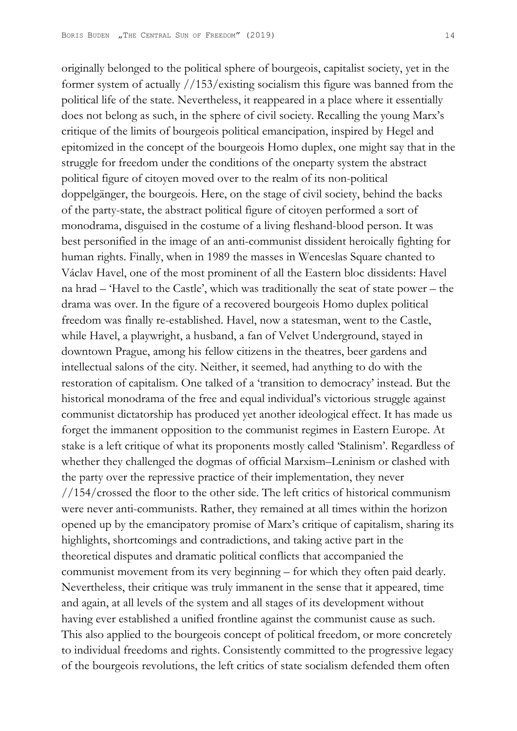originally belonged to the political sphere of bourgeois, capitalist society, yet in the former system of actually //153/existing socialism this figure was banned from the political life of the state. Nevertheless, it reappeared in a place where it essentially does not belong as such, in the sphere of civil society. Recalling the young Marx's critique of the limits of bourgeois political emancipation, inspired by Hegel and epitomized in the concept of the bourgeois Homo duplex, one might say that in the struggle for freedom under the conditions of the oneparty system the abstract political figure of citoyen moved over to the realm of its non-political doppelgänger, the bourgeois. Here, on the stage of civil society, behind the backs of the party-state, the abstract political figure of citoyen performed a sort of monodrama, disguised in the costume of a living fleshand-blood person. It was best personified in the image of an anti-communist dissident heroically fighting for human rights. Finally, when in 1989 the masses in Wenceslas Square chanted to Václav Havel, one of the most prominent of all the Eastern bloc dissidents: Havel na hrad – 'Havel to the Castle', which was traditionally the seat of state power – the drama was over. In the figure of a recovered bourgeois Homo duplex political freedom was finally re-established. Havel, now a statesman, went to the Castle, while Havel, a playwright, a husband, a fan of Velvet Underground, stayed in downtown Prague, among his fellow citizens in the theatres, beer gardens and intellectual salons of the city. Neither, it seemed, had anything to do with the restoration of capitalism. One talked of a 'transition to democracy' instead. But the historical monodrama of the free and equal individual's victorious struggle against communist dictatorship has produced yet another ideological effect. It has made us forget the immanent opposition to the communist regimes in Eastern Europe. At stake is a left critique of what its proponents mostly called 'Stalinism'. Regardless of whether they challenged the dogmas of official Marxism–Leninism or clashed with the party over the repressive practice of their implementation, they never //154/crossed the floor to the other side. The left critics of historical communism were never anti-communists. Rather, they remained at all times within the horizon opened up by the emancipatory promise of Marx's critique of capitalism, sharing its highlights, shortcomings and contradictions, and taking active part in the theoretical disputes and dramatic political conflicts that accompanied the communist movement from its very beginning – for which they often paid dearly. Nevertheless, their critique was truly immanent in the sense that it appeared, time and again, at all levels of the system and all stages of its development without having ever established a unified frontline against the communist cause as such. This also applied to the bourgeois concept of political freedom, or more concretely to individual freedoms and rights. Consistently committed to the progressive legacy of the bourgeois revolutions, the left critics of state socialism defended them often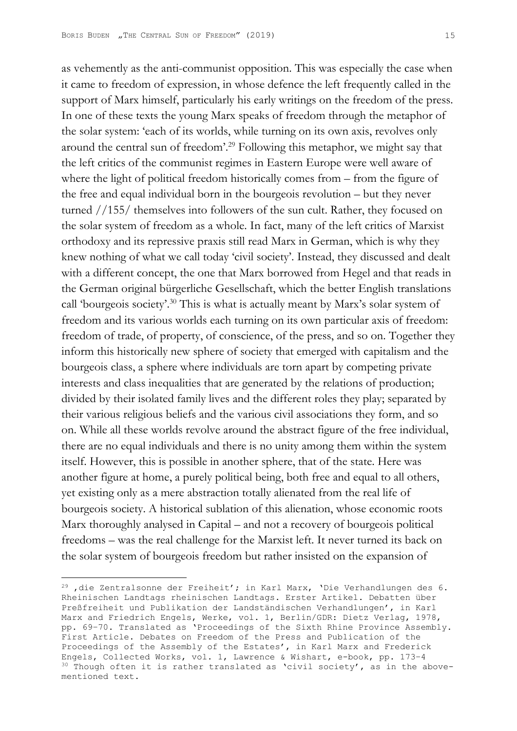as vehemently as the anti-communist opposition. This was especially the case when it came to freedom of expression, in whose defence the left frequently called in the support of Marx himself, particularly his early writings on the freedom of the press. In one of these texts the young Marx speaks of freedom through the metaphor of the solar system: 'each of its worlds, while turning on its own axis, revolves only around the central sun of freedom'.29 Following this metaphor, we might say that the left critics of the communist regimes in Eastern Europe were well aware of where the light of political freedom historically comes from – from the figure of the free and equal individual born in the bourgeois revolution – but they never turned //155/ themselves into followers of the sun cult. Rather, they focused on the solar system of freedom as a whole. In fact, many of the left critics of Marxist orthodoxy and its repressive praxis still read Marx in German, which is why they knew nothing of what we call today 'civil society'. Instead, they discussed and dealt with a different concept, the one that Marx borrowed from Hegel and that reads in the German original bürgerliche Gesellschaft, which the better English translations call 'bourgeois society'.30 This is what is actually meant by Marx's solar system of freedom and its various worlds each turning on its own particular axis of freedom: freedom of trade, of property, of conscience, of the press, and so on. Together they inform this historically new sphere of society that emerged with capitalism and the bourgeois class, a sphere where individuals are torn apart by competing private interests and class inequalities that are generated by the relations of production; divided by their isolated family lives and the different roles they play; separated by their various religious beliefs and the various civil associations they form, and so on. While all these worlds revolve around the abstract figure of the free individual, there are no equal individuals and there is no unity among them within the system itself. However, this is possible in another sphere, that of the state. Here was another figure at home, a purely political being, both free and equal to all others, yet existing only as a mere abstraction totally alienated from the real life of bourgeois society. A historical sublation of this alienation, whose economic roots Marx thoroughly analysed in Capital – and not a recovery of bourgeois political freedoms – was the real challenge for the Marxist left. It never turned its back on the solar system of bourgeois freedom but rather insisted on the expansion of

 $^{29}$ , die Zentralsonne der Freiheit'; in Karl Marx, 'Die Verhandlungen des 6. Rheinischen Landtags rheinischen Landtags. Erster Artikel. Debatten über Preßfreiheit und Publikation der Landständischen Verhandlungen', in Karl Marx and Friedrich Engels, Werke, vol. 1, Berlin/GDR: Dietz Verlag, 1978, pp. 69–70. Translated as 'Proceedings of the Sixth Rhine Province Assembly. First Article. Debates on Freedom of the Press and Publication of the Proceedings of the Assembly of the Estates', in Karl Marx and Frederick Engels, Collected Works, vol. 1, Lawrence & Wishart, e-book, pp. 173–4  $30$  Though often it is rather translated as 'civil society', as in the abovementioned text.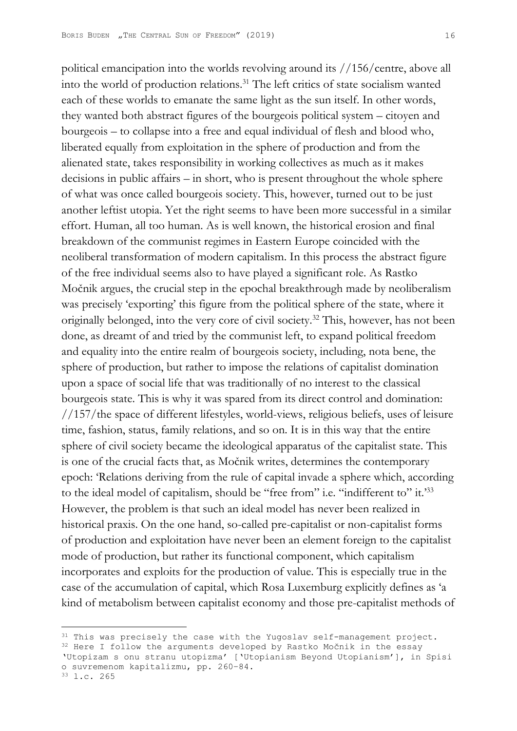political emancipation into the worlds revolving around its //156/centre, above all into the world of production relations.<sup>31</sup> The left critics of state socialism wanted each of these worlds to emanate the same light as the sun itself. In other words, they wanted both abstract figures of the bourgeois political system – citoyen and bourgeois – to collapse into a free and equal individual of flesh and blood who, liberated equally from exploitation in the sphere of production and from the alienated state, takes responsibility in working collectives as much as it makes decisions in public affairs – in short, who is present throughout the whole sphere of what was once called bourgeois society. This, however, turned out to be just another leftist utopia. Yet the right seems to have been more successful in a similar effort. Human, all too human. As is well known, the historical erosion and final breakdown of the communist regimes in Eastern Europe coincided with the neoliberal transformation of modern capitalism. In this process the abstract figure of the free individual seems also to have played a significant role. As Rastko Močnik argues, the crucial step in the epochal breakthrough made by neoliberalism was precisely 'exporting' this figure from the political sphere of the state, where it originally belonged, into the very core of civil society.<sup>32</sup> This, however, has not been done, as dreamt of and tried by the communist left, to expand political freedom and equality into the entire realm of bourgeois society, including, nota bene, the sphere of production, but rather to impose the relations of capitalist domination upon a space of social life that was traditionally of no interest to the classical bourgeois state. This is why it was spared from its direct control and domination: //157/the space of different lifestyles, world-views, religious beliefs, uses of leisure time, fashion, status, family relations, and so on. It is in this way that the entire sphere of civil society became the ideological apparatus of the capitalist state. This is one of the crucial facts that, as Močnik writes, determines the contemporary epoch: 'Relations deriving from the rule of capital invade a sphere which, according to the ideal model of capitalism, should be "free from" i.e. "indifferent to" it.'33 However, the problem is that such an ideal model has never been realized in historical praxis. On the one hand, so-called pre-capitalist or non-capitalist forms of production and exploitation have never been an element foreign to the capitalist mode of production, but rather its functional component, which capitalism incorporates and exploits for the production of value. This is especially true in the case of the accumulation of capital, which Rosa Luxemburg explicitly defines as 'a kind of metabolism between capitalist economy and those pre-capitalist methods of

33 l.c. 265

<sup>&</sup>lt;sup>31</sup> This was precisely the case with the Yugoslav self-management project.

<sup>&</sup>lt;sup>32</sup> Here I follow the arguments developed by Rastko Močnik in the essay

<sup>&#</sup>x27;Utopizam s onu stranu utopizma' ['Utopianism Beyond Utopianism'], in Spisi o suvremenom kapitalizmu, pp. 260–84.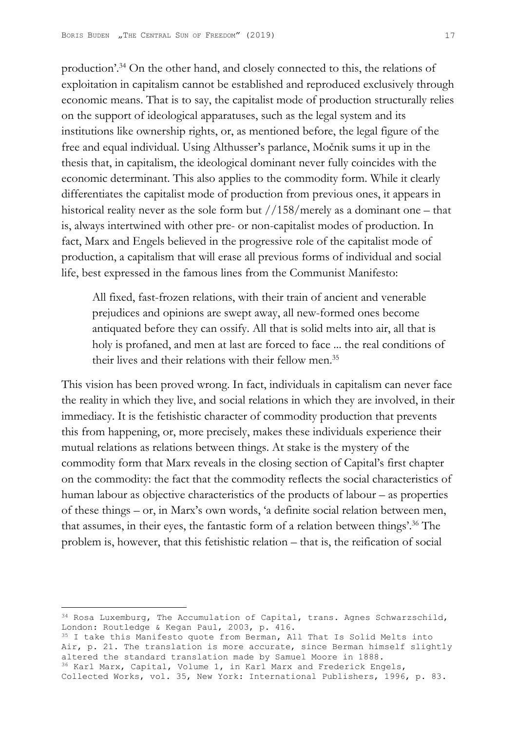production'.34 On the other hand, and closely connected to this, the relations of exploitation in capitalism cannot be established and reproduced exclusively through economic means. That is to say, the capitalist mode of production structurally relies on the support of ideological apparatuses, such as the legal system and its institutions like ownership rights, or, as mentioned before, the legal figure of the free and equal individual. Using Althusser's parlance, Močnik sums it up in the thesis that, in capitalism, the ideological dominant never fully coincides with the economic determinant. This also applies to the commodity form. While it clearly differentiates the capitalist mode of production from previous ones, it appears in historical reality never as the sole form but  $//158/merely$  as a dominant one – that is, always intertwined with other pre- or non-capitalist modes of production. In fact, Marx and Engels believed in the progressive role of the capitalist mode of production, a capitalism that will erase all previous forms of individual and social life, best expressed in the famous lines from the Communist Manifesto:

All fixed, fast-frozen relations, with their train of ancient and venerable prejudices and opinions are swept away, all new-formed ones become antiquated before they can ossify. All that is solid melts into air, all that is holy is profaned, and men at last are forced to face ... the real conditions of their lives and their relations with their fellow men.<sup>35</sup>

This vision has been proved wrong. In fact, individuals in capitalism can never face the reality in which they live, and social relations in which they are involved, in their immediacy. It is the fetishistic character of commodity production that prevents this from happening, or, more precisely, makes these individuals experience their mutual relations as relations between things. At stake is the mystery of the commodity form that Marx reveals in the closing section of Capital's first chapter on the commodity: the fact that the commodity reflects the social characteristics of human labour as objective characteristics of the products of labour – as properties of these things – or, in Marx's own words, 'a definite social relation between men, that assumes, in their eyes, the fantastic form of a relation between things'.36 The problem is, however, that this fetishistic relation – that is, the reification of social

<sup>35</sup> I take this Manifesto quote from Berman, All That Is Solid Melts into Air, p. 21. The translation is more accurate, since Berman himself slightly altered the standard translation made by Samuel Moore in 1888. 36 Karl Marx, Capital, Volume 1, in Karl Marx and Frederick Engels,

<sup>&</sup>lt;sup>34</sup> Rosa Luxemburg, The Accumulation of Capital, trans. Agnes Schwarzschild, London: Routledge & Kegan Paul, 2003, p. 416.

Collected Works, vol. 35, New York: International Publishers, 1996, p. 83.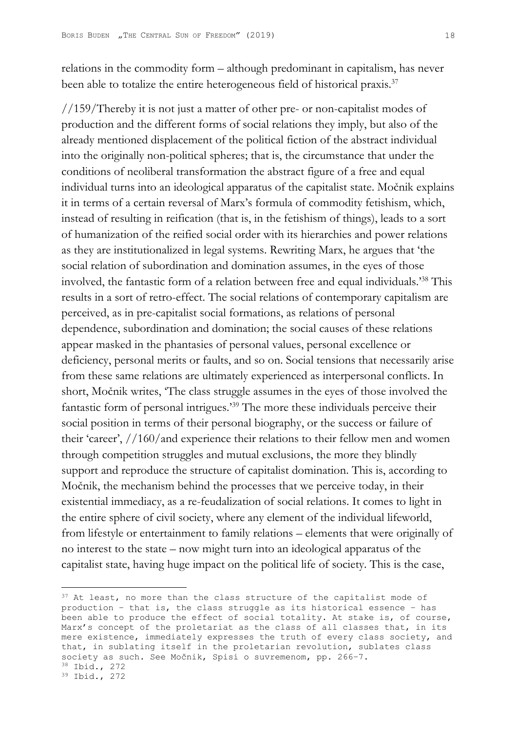relations in the commodity form – although predominant in capitalism, has never been able to totalize the entire heterogeneous field of historical praxis.<sup>37</sup>

//159/Thereby it is not just a matter of other pre- or non-capitalist modes of production and the different forms of social relations they imply, but also of the already mentioned displacement of the political fiction of the abstract individual into the originally non-political spheres; that is, the circumstance that under the conditions of neoliberal transformation the abstract figure of a free and equal individual turns into an ideological apparatus of the capitalist state. Močnik explains it in terms of a certain reversal of Marx's formula of commodity fetishism, which, instead of resulting in reification (that is, in the fetishism of things), leads to a sort of humanization of the reified social order with its hierarchies and power relations as they are institutionalized in legal systems. Rewriting Marx, he argues that 'the social relation of subordination and domination assumes, in the eyes of those involved, the fantastic form of a relation between free and equal individuals.'38 This results in a sort of retro-effect. The social relations of contemporary capitalism are perceived, as in pre-capitalist social formations, as relations of personal dependence, subordination and domination; the social causes of these relations appear masked in the phantasies of personal values, personal excellence or deficiency, personal merits or faults, and so on. Social tensions that necessarily arise from these same relations are ultimately experienced as interpersonal conflicts. In short, Močnik writes, 'The class struggle assumes in the eyes of those involved the fantastic form of personal intrigues.'39 The more these individuals perceive their social position in terms of their personal biography, or the success or failure of their 'career', //160/and experience their relations to their fellow men and women through competition struggles and mutual exclusions, the more they blindly support and reproduce the structure of capitalist domination. This is, according to Močnik, the mechanism behind the processes that we perceive today, in their existential immediacy, as a re-feudalization of social relations. It comes to light in the entire sphere of civil society, where any element of the individual lifeworld, from lifestyle or entertainment to family relations – elements that were originally of no interest to the state – now might turn into an ideological apparatus of the capitalist state, having huge impact on the political life of society. This is the case,

<sup>&</sup>lt;sup>37</sup> At least, no more than the class structure of the capitalist mode of production – that is, the class struggle as its historical essence – has been able to produce the effect of social totality. At stake is, of course, Marx's concept of the proletariat as the class of all classes that, in its mere existence, immediately expresses the truth of every class society, and that, in sublating itself in the proletarian revolution, sublates class society as such. See Močnik, Spisi o suvremenom, pp. 266-7.<br><sup>38</sup> Ibid., 272

<sup>39</sup> Ibid., 272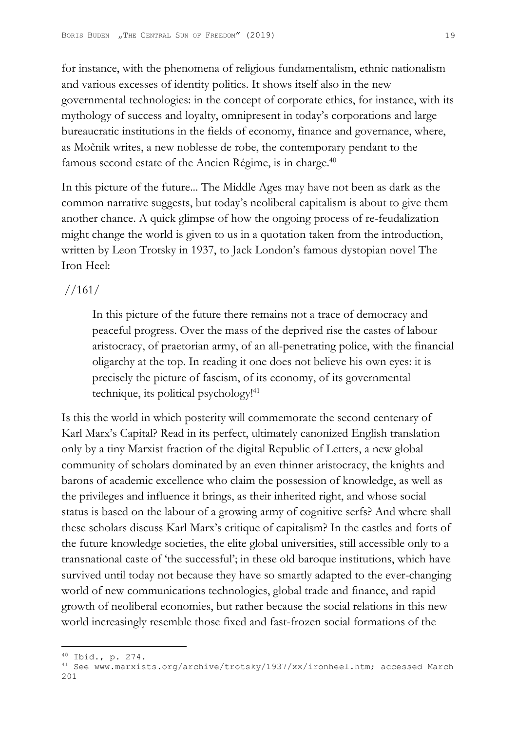for instance, with the phenomena of religious fundamentalism, ethnic nationalism and various excesses of identity politics. It shows itself also in the new governmental technologies: in the concept of corporate ethics, for instance, with its mythology of success and loyalty, omnipresent in today's corporations and large bureaucratic institutions in the fields of economy, finance and governance, where, as Močnik writes, a new noblesse de robe, the contemporary pendant to the famous second estate of the Ancien Régime, is in charge.<sup>40</sup>

In this picture of the future... The Middle Ages may have not been as dark as the common narrative suggests, but today's neoliberal capitalism is about to give them another chance. A quick glimpse of how the ongoing process of re-feudalization might change the world is given to us in a quotation taken from the introduction, written by Leon Trotsky in 1937, to Jack London's famous dystopian novel The Iron Heel:

## //161/

In this picture of the future there remains not a trace of democracy and peaceful progress. Over the mass of the deprived rise the castes of labour aristocracy, of praetorian army, of an all-penetrating police, with the financial oligarchy at the top. In reading it one does not believe his own eyes: it is precisely the picture of fascism, of its economy, of its governmental technique, its political psychology!<sup>41</sup>

Is this the world in which posterity will commemorate the second centenary of Karl Marx's Capital? Read in its perfect, ultimately canonized English translation only by a tiny Marxist fraction of the digital Republic of Letters, a new global community of scholars dominated by an even thinner aristocracy, the knights and barons of academic excellence who claim the possession of knowledge, as well as the privileges and influence it brings, as their inherited right, and whose social status is based on the labour of a growing army of cognitive serfs? And where shall these scholars discuss Karl Marx's critique of capitalism? In the castles and forts of the future knowledge societies, the elite global universities, still accessible only to a transnational caste of 'the successful'; in these old baroque institutions, which have survived until today not because they have so smartly adapted to the ever-changing world of new communications technologies, global trade and finance, and rapid growth of neoliberal economies, but rather because the social relations in this new world increasingly resemble those fixed and fast-frozen social formations of the

<sup>40</sup> Ibid., p. 274.

<sup>41</sup> See www.marxists.org/archive/trotsky/1937/xx/ironheel.htm; accessed March 201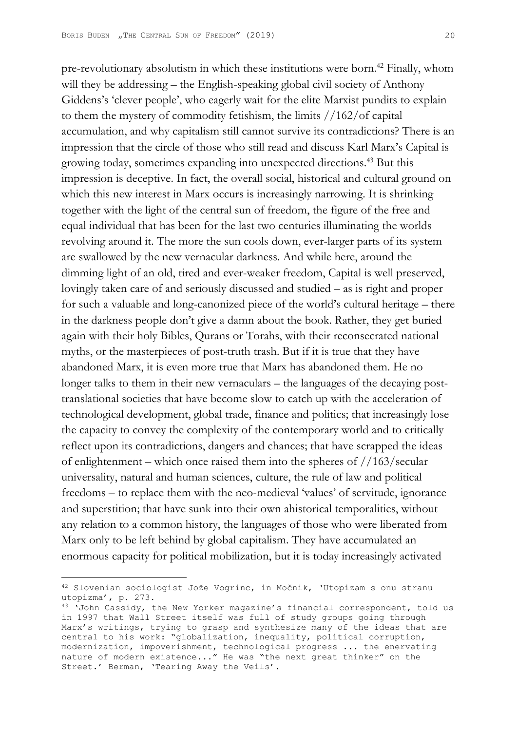pre-revolutionary absolutism in which these institutions were born.42 Finally, whom will they be addressing – the English-speaking global civil society of Anthony Giddens's 'clever people', who eagerly wait for the elite Marxist pundits to explain to them the mystery of commodity fetishism, the limits //162/of capital accumulation, and why capitalism still cannot survive its contradictions? There is an impression that the circle of those who still read and discuss Karl Marx's Capital is growing today, sometimes expanding into unexpected directions.43 But this impression is deceptive. In fact, the overall social, historical and cultural ground on which this new interest in Marx occurs is increasingly narrowing. It is shrinking together with the light of the central sun of freedom, the figure of the free and equal individual that has been for the last two centuries illuminating the worlds revolving around it. The more the sun cools down, ever-larger parts of its system are swallowed by the new vernacular darkness. And while here, around the dimming light of an old, tired and ever-weaker freedom, Capital is well preserved, lovingly taken care of and seriously discussed and studied – as is right and proper for such a valuable and long-canonized piece of the world's cultural heritage – there in the darkness people don't give a damn about the book. Rather, they get buried again with their holy Bibles, Qurans or Torahs, with their reconsecrated national myths, or the masterpieces of post-truth trash. But if it is true that they have abandoned Marx, it is even more true that Marx has abandoned them. He no longer talks to them in their new vernaculars – the languages of the decaying posttranslational societies that have become slow to catch up with the acceleration of technological development, global trade, finance and politics; that increasingly lose the capacity to convey the complexity of the contemporary world and to critically reflect upon its contradictions, dangers and chances; that have scrapped the ideas of enlightenment – which once raised them into the spheres of  $//163/secular$ universality, natural and human sciences, culture, the rule of law and political freedoms – to replace them with the neo-medieval 'values' of servitude, ignorance and superstition; that have sunk into their own ahistorical temporalities, without any relation to a common history, the languages of those who were liberated from Marx only to be left behind by global capitalism. They have accumulated an enormous capacity for political mobilization, but it is today increasingly activated

<sup>42</sup> Slovenian sociologist Jože Vogrinc, in Močnik, 'Utopizam s onu stranu utopizma', p. 273.

<sup>43 &#</sup>x27;John Cassidy, the New Yorker magazine's financial correspondent, told us in 1997 that Wall Street itself was full of study groups going through Marx's writings, trying to grasp and synthesize many of the ideas that are central to his work: "globalization, inequality, political corruption, modernization, impoverishment, technological progress ... the enervating nature of modern existence..." He was "the next great thinker" on the Street.' Berman, 'Tearing Away the Veils'.